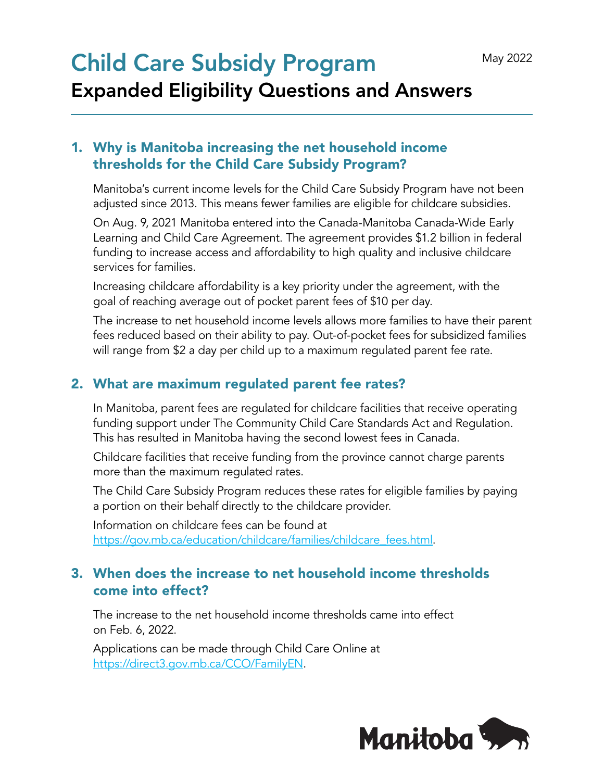# Child Care Subsidy Program May 2022 Expanded Eligibility Questions and Answers

#### 1. Why is Manitoba increasing the net household income thresholds for the Child Care Subsidy Program?

Manitoba's current income levels for the Child Care Subsidy Program have not been adjusted since 2013. This means fewer families are eligible for childcare subsidies.

On Aug. 9, 2021 Manitoba entered into the Canada-Manitoba Canada-Wide Early Learning and Child Care Agreement. The agreement provides \$1.2 billion in federal funding to increase access and affordability to high quality and inclusive childcare services for families.

Increasing childcare affordability is a key priority under the agreement, with the goal of reaching average out of pocket parent fees of \$10 per day.

The increase to net household income levels allows more families to have their parent fees reduced based on their ability to pay. Out-of-pocket fees for subsidized families will range from \$2 a day per child up to a maximum regulated parent fee rate.

#### 2. What are maximum regulated parent fee rates?

In Manitoba, parent fees are regulated for childcare facilities that receive operating funding support under The Community Child Care Standards Act and Regulation. This has resulted in Manitoba having the second lowest fees in Canada.

Childcare facilities that receive funding from the province cannot charge parents more than the maximum regulated rates.

The Child Care Subsidy Program reduces these rates for eligible families by paying a portion on their behalf directly to the childcare provider.

Information on childcare fees can be found at [https://gov.mb.ca/education/childcare/families/childcare\\_fees.html.](https://gov.mb.ca/education/childcare/families/childcare_fees.html)

#### 3. When does the increase to net household income thresholds come into effect?

The increase to the net household income thresholds came into effect on Feb. 6, 2022.

Applications can be made through Child Care Online at <https://direct3.gov.mb.ca/CCO/FamilyEN>.

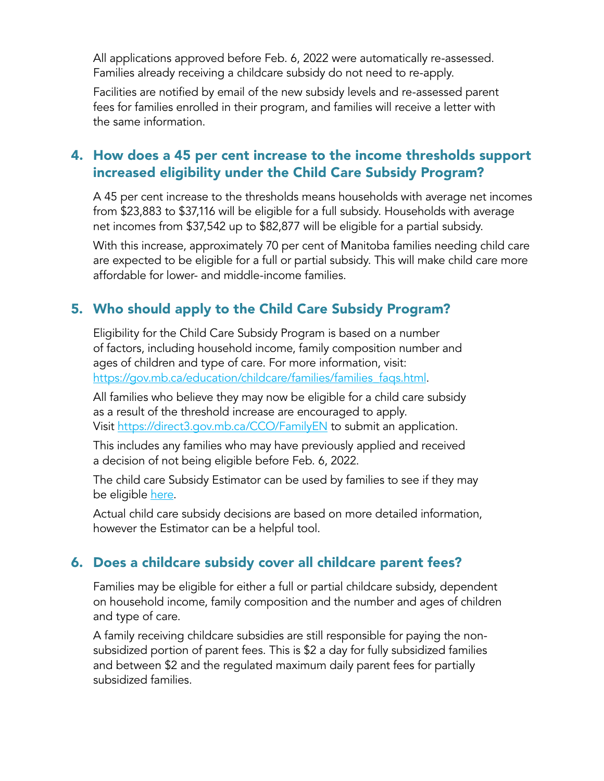All applications approved before Feb. 6, 2022 were automatically re-assessed. Families already receiving a childcare subsidy do not need to re-apply.

Facilities are notified by email of the new subsidy levels and re-assessed parent fees for families enrolled in their program, and families will receive a letter with the same information.

#### 4. How does a 45 per cent increase to the income thresholds support increased eligibility under the Child Care Subsidy Program?

A 45 per cent increase to the thresholds means households with average net incomes from \$23,883 to \$37,116 will be eligible for a full subsidy. Households with average net incomes from \$37,542 up to \$82,877 will be eligible for a partial subsidy.

With this increase, approximately 70 per cent of Manitoba families needing child care are expected to be eligible for a full or partial subsidy. This will make child care more affordable for lower- and middle-income families.

# 5. Who should apply to the Child Care Subsidy Program?

Eligibility for the Child Care Subsidy Program is based on a number of factors, including household income, family composition number and ages of children and type of care. For more information, visit: [https://gov.mb.ca/education/childcare/families/families\\_faqs.html](https://gov.mb.ca/education/childcare/families/families_faqs.html).

All families who believe they may now be eligible for a child care subsidy as a result of the threshold increase are encouraged to apply. Visit<https://direct3.gov.mb.ca/CCO/FamilyEN> to submit an application.

This includes any families who may have previously applied and received a decision of not being eligible before Feb. 6, 2022.

The child care Subsidy Estimator can be used by families to see if they may be eligible [here.](https://direct3.gov.mb.ca/86256A0F000139EC/0/A101EE9050AAB360862588520010D4EA?EditDocument)

Actual child care subsidy decisions are based on more detailed information, however the Estimator can be a helpful tool.

#### 6. Does a childcare subsidy cover all childcare parent fees?

Families may be eligible for either a full or partial childcare subsidy, dependent on household income, family composition and the number and ages of children and type of care.

A family receiving childcare subsidies are still responsible for paying the nonsubsidized portion of parent fees. This is \$2 a day for fully subsidized families and between \$2 and the regulated maximum daily parent fees for partially subsidized families.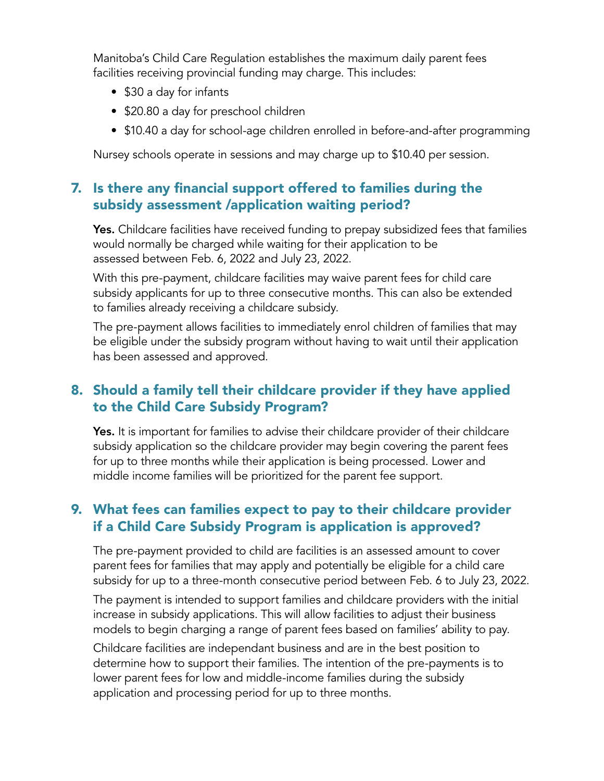Manitoba's Child Care Regulation establishes the maximum daily parent fees facilities receiving provincial funding may charge. This includes:

- \$30 a day for infants
- \$20.80 a day for preschool children
- \$10.40 a day for school-age children enrolled in before-and-after programming

Nursey schools operate in sessions and may charge up to \$10.40 per session.

#### 7. Is there any financial support offered to families during the subsidy assessment /application waiting period?

Yes. Childcare facilities have received funding to prepay subsidized fees that families would normally be charged while waiting for their application to be assessed between Feb. 6, 2022 and July 23, 2022.

With this pre-payment, childcare facilities may waive parent fees for child care subsidy applicants for up to three consecutive months. This can also be extended to families already receiving a childcare subsidy.

The pre-payment allows facilities to immediately enrol children of families that may be eligible under the subsidy program without having to wait until their application has been assessed and approved.

# 8. Should a family tell their childcare provider if they have applied to the Child Care Subsidy Program?

Yes. It is important for families to advise their childcare provider of their childcare subsidy application so the childcare provider may begin covering the parent fees for up to three months while their application is being processed. Lower and middle income families will be prioritized for the parent fee support.

# 9. What fees can families expect to pay to their childcare provider if a Child Care Subsidy Program is application is approved?

The pre-payment provided to child are facilities is an assessed amount to cover parent fees for families that may apply and potentially be eligible for a child care subsidy for up to a three-month consecutive period between Feb. 6 to July 23, 2022.

The payment is intended to support families and childcare providers with the initial increase in subsidy applications. This will allow facilities to adjust their business models to begin charging a range of parent fees based on families' ability to pay.

Childcare facilities are independant business and are in the best position to determine how to support their families. The intention of the pre-payments is to lower parent fees for low and middle-income families during the subsidy application and processing period for up to three months.